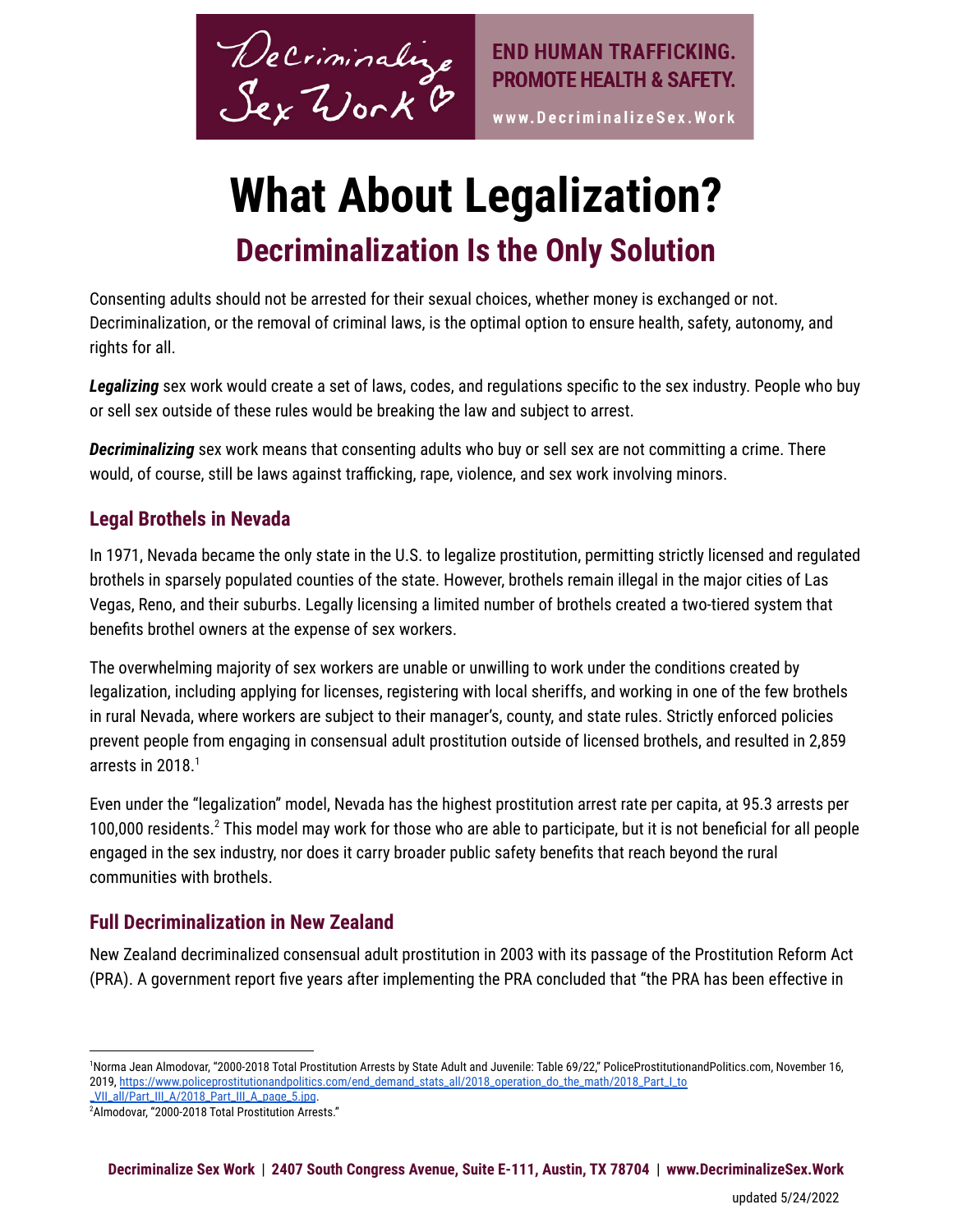

www.DecriminalizeSex.Work

# **What About Legalization? Decriminalization Is the Only Solution**

Consenting adults should not be arrested for their sexual choices, whether money is exchanged or not. Decriminalization, or the removal of criminal laws, is the optimal option to ensure health, safety, autonomy, and rights for all.

*Legalizing* sex work would create a set of laws, codes, and regulations specific to the sex industry. People who buy or sell sex outside of these rules would be breaking the law and subject to arrest.

*Decriminalizing* sex work means that consenting adults who buy or sell sex are not committing a crime. There would, of course, still be laws against trafficking, rape, violence, and sex work involving minors.

#### **Legal Brothels in Nevada**

In 1971, Nevada became the only state in the U.S. to legalize prostitution, permitting strictly licensed and regulated brothels in sparsely populated counties of the state. However, brothels remain illegal in the major cities of Las Vegas, Reno, and their suburbs. Legally licensing a limited number of brothels created a two-tiered system that benefits brothel owners at the expense of sex workers.

The overwhelming majority of sex workers are unable or unwilling to work under the conditions created by legalization, including applying for licenses, registering with local sheriffs, and working in one of the few brothels in rural Nevada, where workers are subject to their manager's, county, and state rules. Strictly enforced policies prevent people from engaging in consensual adult prostitution outside of licensed brothels, and resulted in 2,859 arrests in 2018. 1

Even under the "legalization" model, Nevada has the highest prostitution arrest rate per capita, at 95.3 arrests per 100,000 residents.<sup>2</sup> This model may work for those who are able to participate, but it is not beneficial for all people engaged in the sex industry, nor does it carry broader public safety benefits that reach beyond the rural communities with brothels.

### **Full Decriminalization in New Zealand**

New Zealand decriminalized consensual adult prostitution in 2003 with its passage of the Prostitution Reform Act (PRA). A government report five years after implementing the PRA concluded that "the PRA has been effective in

<sup>1</sup>Norma Jean Almodovar, "2000-2018 Total Prostitution Arrests by State Adult and Juvenile: Table 69/22," PoliceProstitutionandPolitics.com, November 16, 2019, [https://www.policeprostitutionandpolitics.com/end\\_demand\\_stats\\_all/2018\\_operation\\_do\\_the\\_math/2018\\_Part\\_I\\_to](https://www.policeprostitutionandpolitics.com/end_demand_stats_all/2018_operation_do_the_math/2018_Part_I_to_VII_all/Part_III_A/2018_Part_III_A_page_5.jpg)

<sup>&</sup>lt;sup>2</sup>Almodovar, "2000-2018 Total Prostitution Arrests." VII\_all/Part\_III\_A/2018\_Part\_III\_A\_page\_5.jpg.